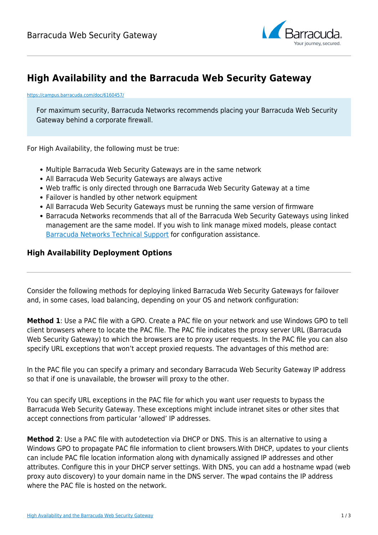

## **High Availability and the Barracuda Web Security Gateway**

<https://campus.barracuda.com/doc/6160457/>

For maximum security, Barracuda Networks recommends placing your Barracuda Web Security Gateway behind a corporate firewall.

For High Availability, the following must be true:

- Multiple Barracuda Web Security Gateways are in the same network
- All Barracuda Web Security Gateways are always active
- Web traffic is only directed through one Barracuda Web Security Gateway at a time
- Failover is handled by other network equipment
- All Barracuda Web Security Gateways must be running the same version of firmware
- Barracuda Networks recommends that all of the Barracuda Web Security Gateways using linked management are the same model. If you wish to link manage mixed models, please contact [Barracuda Networks Technical Support](https://www.barracuda.com/support/index) for configuration assistance.

## **High Availability Deployment Options**

Consider the following methods for deploying linked Barracuda Web Security Gateways for failover and, in some cases, load balancing, depending on your OS and network configuration:

**Method 1**: Use a PAC file with a GPO. Create a PAC file on your network and use Windows GPO to tell client browsers where to locate the PAC file. The PAC file indicates the proxy server URL (Barracuda Web Security Gateway) to which the browsers are to proxy user requests. In the PAC file you can also specify URL exceptions that won't accept proxied requests. The advantages of this method are:

In the PAC file you can specify a primary and secondary Barracuda Web Security Gateway IP address so that if one is unavailable, the browser will proxy to the other.

You can specify URL exceptions in the PAC file for which you want user requests to bypass the Barracuda Web Security Gateway. These exceptions might include intranet sites or other sites that accept connections from particular 'allowed' IP addresses.

**Method 2**: Use a PAC file with autodetection via DHCP or DNS. This is an alternative to using a Windows GPO to propagate PAC file information to client browsers.With DHCP, updates to your clients can include PAC file location information along with dynamically assigned IP addresses and other attributes. Configure this in your DHCP server settings. With DNS, you can add a hostname wpad (web proxy auto discovery) to your domain name in the DNS server. The wpad contains the IP address where the PAC file is hosted on the network.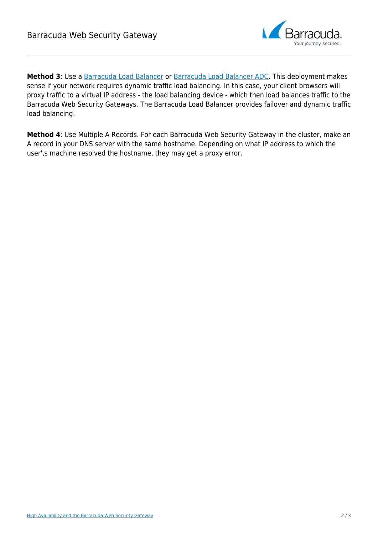

Method 3: Use a [Barracuda Load Balancer](http://campus.barracuda.com/doc/3539007/) or [Barracuda Load Balancer ADC.](http://campus.barracuda.com/doc/19333123/) This deployment makes sense if your network requires dynamic traffic load balancing. In this case, your client browsers will proxy traffic to a virtual IP address - the load balancing device - which then load balances traffic to the Barracuda Web Security Gateways. The Barracuda Load Balancer provides failover and dynamic traffic load balancing.

**Method 4**: Use Multiple A Records. For each Barracuda Web Security Gateway in the cluster, make an A record in your DNS server with the same hostname. Depending on what IP address to which the user',s machine resolved the hostname, they may get a proxy error.